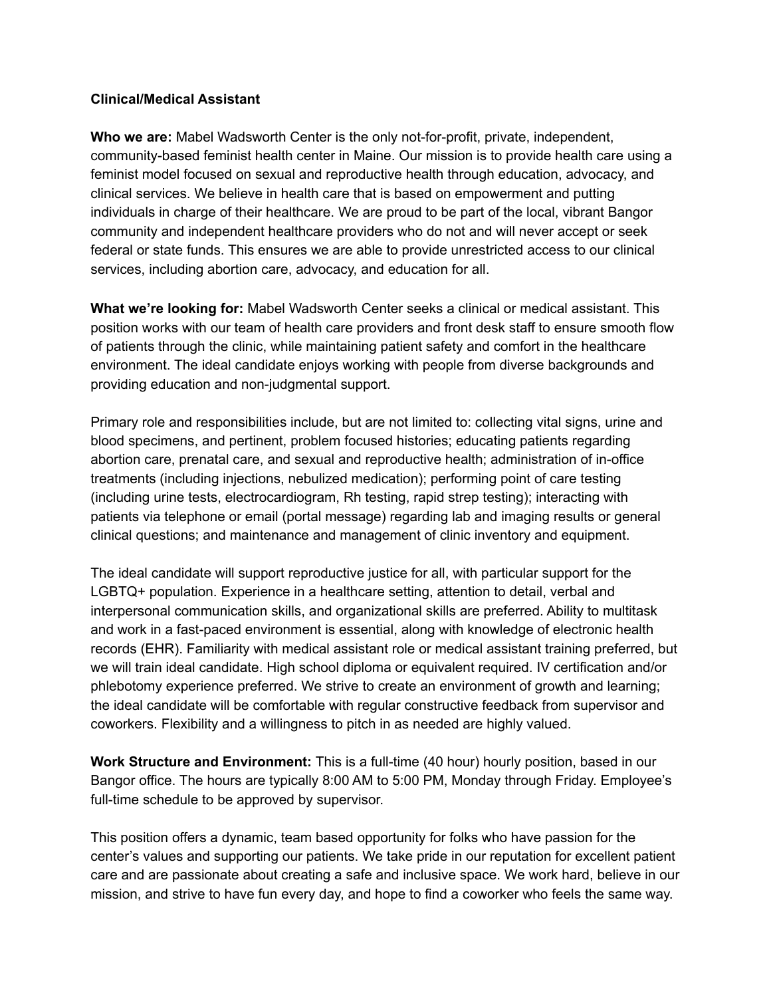## **Clinical/Medical Assistant**

**Who we are:** Mabel Wadsworth Center is the only not-for-profit, private, independent, community-based feminist health center in Maine. Our mission is to provide health care using a feminist model focused on sexual and reproductive health through education, advocacy, and clinical services. We believe in health care that is based on empowerment and putting individuals in charge of their healthcare. We are proud to be part of the local, vibrant Bangor community and independent healthcare providers who do not and will never accept or seek federal or state funds. This ensures we are able to provide unrestricted access to our clinical services, including abortion care, advocacy, and education for all.

**What we're looking for:** Mabel Wadsworth Center seeks a clinical or medical assistant. This position works with our team of health care providers and front desk staff to ensure smooth flow of patients through the clinic, while maintaining patient safety and comfort in the healthcare environment. The ideal candidate enjoys working with people from diverse backgrounds and providing education and non-judgmental support.

Primary role and responsibilities include, but are not limited to: collecting vital signs, urine and blood specimens, and pertinent, problem focused histories; educating patients regarding abortion care, prenatal care, and sexual and reproductive health; administration of in-office treatments (including injections, nebulized medication); performing point of care testing (including urine tests, electrocardiogram, Rh testing, rapid strep testing); interacting with patients via telephone or email (portal message) regarding lab and imaging results or general clinical questions; and maintenance and management of clinic inventory and equipment.

The ideal candidate will support reproductive justice for all, with particular support for the LGBTQ+ population. Experience in a healthcare setting, attention to detail, verbal and interpersonal communication skills, and organizational skills are preferred. Ability to multitask and work in a fast-paced environment is essential, along with knowledge of electronic health records (EHR). Familiarity with medical assistant role or medical assistant training preferred, but we will train ideal candidate. High school diploma or equivalent required. IV certification and/or phlebotomy experience preferred. We strive to create an environment of growth and learning; the ideal candidate will be comfortable with regular constructive feedback from supervisor and coworkers. Flexibility and a willingness to pitch in as needed are highly valued.

**Work Structure and Environment:** This is a full-time (40 hour) hourly position, based in our Bangor office. The hours are typically 8:00 AM to 5:00 PM, Monday through Friday. Employee's full-time schedule to be approved by supervisor.

This position offers a dynamic, team based opportunity for folks who have passion for the center's values and supporting our patients. We take pride in our reputation for excellent patient care and are passionate about creating a safe and inclusive space. We work hard, believe in our mission, and strive to have fun every day, and hope to find a coworker who feels the same way.